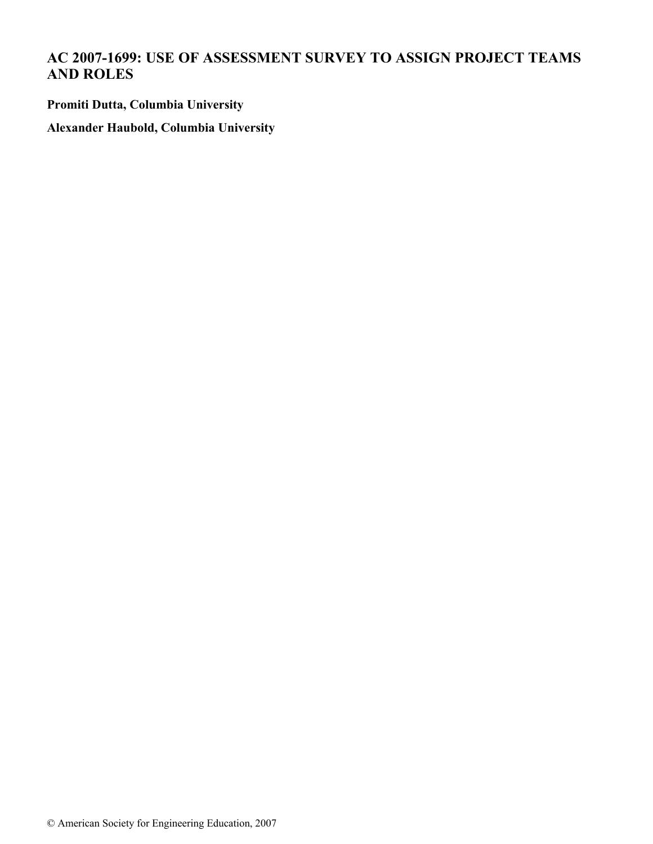# **AC 2007-1699: USE OF ASSESSMENT SURVEY TO ASSIGN PROJECT TEAMS AND ROLES**

**Promiti Dutta, Columbia University**

**Alexander Haubold, Columbia University**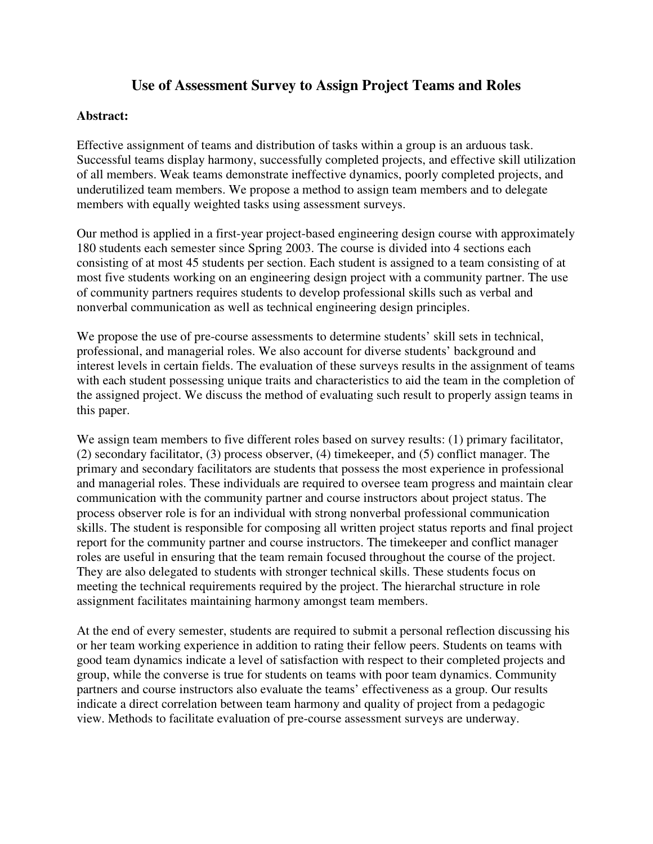# **Use of Assessment Survey to Assign Project Teams and Roles**

#### **Abstract:**

Effective assignment of teams and distribution of tasks within a group is an arduous task. Successful teams display harmony, successfully completed projects, and effective skill utilization of all members. Weak teams demonstrate ineffective dynamics, poorly completed projects, and underutilized team members. We propose a method to assign team members and to delegate members with equally weighted tasks using assessment surveys.

Our method is applied in a first-year project-based engineering design course with approximately 180 students each semester since Spring 2003. The course is divided into 4 sections each consisting of at most 45 students per section. Each student is assigned to a team consisting of at most five students working on an engineering design project with a community partner. The use of community partners requires students to develop professional skills such as verbal and nonverbal communication as well as technical engineering design principles.

We propose the use of pre-course assessments to determine students' skill sets in technical, professional, and managerial roles. We also account for diverse students' background and interest levels in certain fields. The evaluation of these surveys results in the assignment of teams with each student possessing unique traits and characteristics to aid the team in the completion of the assigned project. We discuss the method of evaluating such result to properly assign teams in this paper.

We assign team members to five different roles based on survey results: (1) primary facilitator, (2) secondary facilitator, (3) process observer, (4) timekeeper, and (5) conflict manager. The primary and secondary facilitators are students that possess the most experience in professional and managerial roles. These individuals are required to oversee team progress and maintain clear communication with the community partner and course instructors about project status. The process observer role is for an individual with strong nonverbal professional communication skills. The student is responsible for composing all written project status reports and final project report for the community partner and course instructors. The timekeeper and conflict manager roles are useful in ensuring that the team remain focused throughout the course of the project. They are also delegated to students with stronger technical skills. These students focus on meeting the technical requirements required by the project. The hierarchal structure in role assignment facilitates maintaining harmony amongst team members.

At the end of every semester, students are required to submit a personal reflection discussing his or her team working experience in addition to rating their fellow peers. Students on teams with good team dynamics indicate a level of satisfaction with respect to their completed projects and group, while the converse is true for students on teams with poor team dynamics. Community partners and course instructors also evaluate the teams' effectiveness as a group. Our results indicate a direct correlation between team harmony and quality of project from a pedagogic view. Methods to facilitate evaluation of pre-course assessment surveys are underway.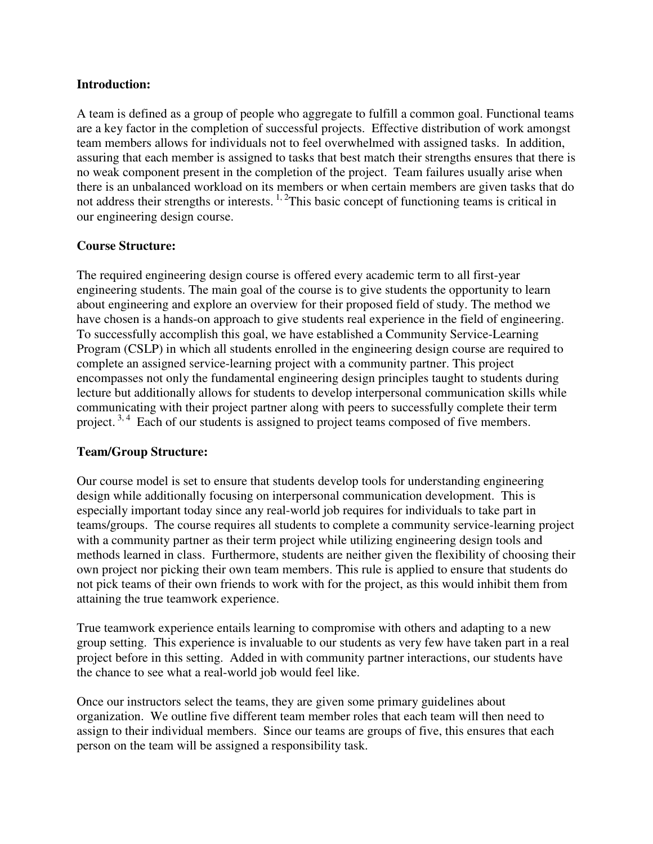#### **Introduction:**

A team is defined as a group of people who aggregate to fulfill a common goal. Functional teams are a key factor in the completion of successful projects. Effective distribution of work amongst team members allows for individuals not to feel overwhelmed with assigned tasks. In addition, assuring that each member is assigned to tasks that best match their strengths ensures that there is no weak component present in the completion of the project. Team failures usually arise when there is an unbalanced workload on its members or when certain members are given tasks that do not address their strengths or interests.  $\frac{1}{2}$ This basic concept of functioning teams is critical in our engineering design course.

## **Course Structure:**

The required engineering design course is offered every academic term to all first-year engineering students. The main goal of the course is to give students the opportunity to learn about engineering and explore an overview for their proposed field of study. The method we have chosen is a hands-on approach to give students real experience in the field of engineering. To successfully accomplish this goal, we have established a Community Service-Learning Program (CSLP) in which all students enrolled in the engineering design course are required to complete an assigned service-learning project with a community partner. This project encompasses not only the fundamental engineering design principles taught to students during lecture but additionally allows for students to develop interpersonal communication skills while communicating with their project partner along with peers to successfully complete their term project.<sup>3, 4</sup> Each of our students is assigned to project teams composed of five members.

## **Team/Group Structure:**

Our course model is set to ensure that students develop tools for understanding engineering design while additionally focusing on interpersonal communication development. This is especially important today since any real-world job requires for individuals to take part in teams/groups. The course requires all students to complete a community service-learning project with a community partner as their term project while utilizing engineering design tools and methods learned in class. Furthermore, students are neither given the flexibility of choosing their own project nor picking their own team members. This rule is applied to ensure that students do not pick teams of their own friends to work with for the project, as this would inhibit them from attaining the true teamwork experience.

True teamwork experience entails learning to compromise with others and adapting to a new group setting. This experience is invaluable to our students as very few have taken part in a real project before in this setting. Added in with community partner interactions, our students have the chance to see what a real-world job would feel like.

Once our instructors select the teams, they are given some primary guidelines about organization. We outline five different team member roles that each team will then need to assign to their individual members. Since our teams are groups of five, this ensures that each person on the team will be assigned a responsibility task.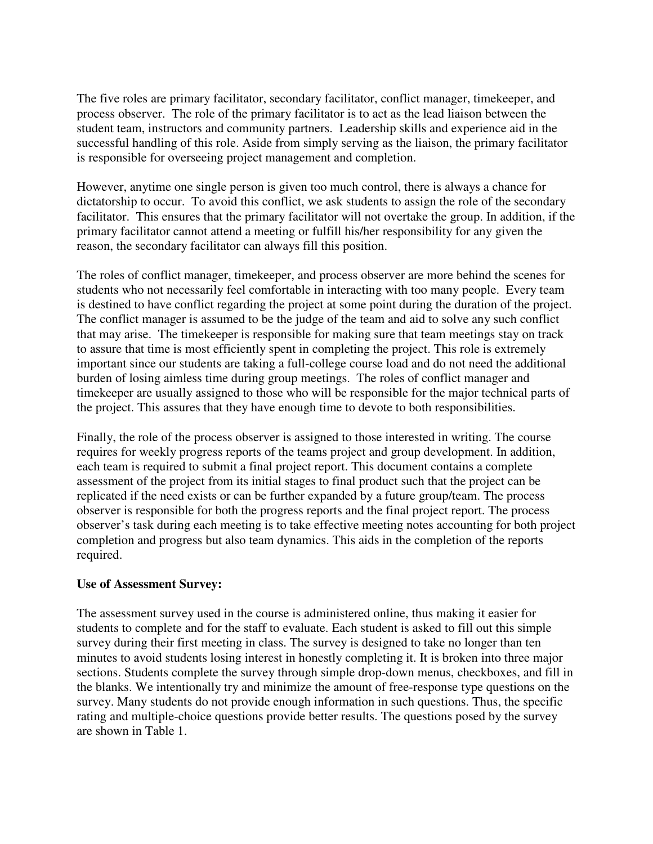The five roles are primary facilitator, secondary facilitator, conflict manager, timekeeper, and process observer. The role of the primary facilitator is to act as the lead liaison between the student team, instructors and community partners. Leadership skills and experience aid in the successful handling of this role. Aside from simply serving as the liaison, the primary facilitator is responsible for overseeing project management and completion.

However, anytime one single person is given too much control, there is always a chance for dictatorship to occur. To avoid this conflict, we ask students to assign the role of the secondary facilitator. This ensures that the primary facilitator will not overtake the group. In addition, if the primary facilitator cannot attend a meeting or fulfill his/her responsibility for any given the reason, the secondary facilitator can always fill this position.

The roles of conflict manager, timekeeper, and process observer are more behind the scenes for students who not necessarily feel comfortable in interacting with too many people. Every team is destined to have conflict regarding the project at some point during the duration of the project. The conflict manager is assumed to be the judge of the team and aid to solve any such conflict that may arise. The timekeeper is responsible for making sure that team meetings stay on track to assure that time is most efficiently spent in completing the project. This role is extremely important since our students are taking a full-college course load and do not need the additional burden of losing aimless time during group meetings. The roles of conflict manager and timekeeper are usually assigned to those who will be responsible for the major technical parts of the project. This assures that they have enough time to devote to both responsibilities.

Finally, the role of the process observer is assigned to those interested in writing. The course requires for weekly progress reports of the teams project and group development. In addition, each team is required to submit a final project report. This document contains a complete assessment of the project from its initial stages to final product such that the project can be replicated if the need exists or can be further expanded by a future group/team. The process observer is responsible for both the progress reports and the final project report. The process observer's task during each meeting is to take effective meeting notes accounting for both project completion and progress but also team dynamics. This aids in the completion of the reports required.

#### **Use of Assessment Survey:**

The assessment survey used in the course is administered online, thus making it easier for students to complete and for the staff to evaluate. Each student is asked to fill out this simple survey during their first meeting in class. The survey is designed to take no longer than ten minutes to avoid students losing interest in honestly completing it. It is broken into three major sections. Students complete the survey through simple drop-down menus, checkboxes, and fill in the blanks. We intentionally try and minimize the amount of free-response type questions on the survey. Many students do not provide enough information in such questions. Thus, the specific rating and multiple-choice questions provide better results. The questions posed by the survey are shown in Table 1.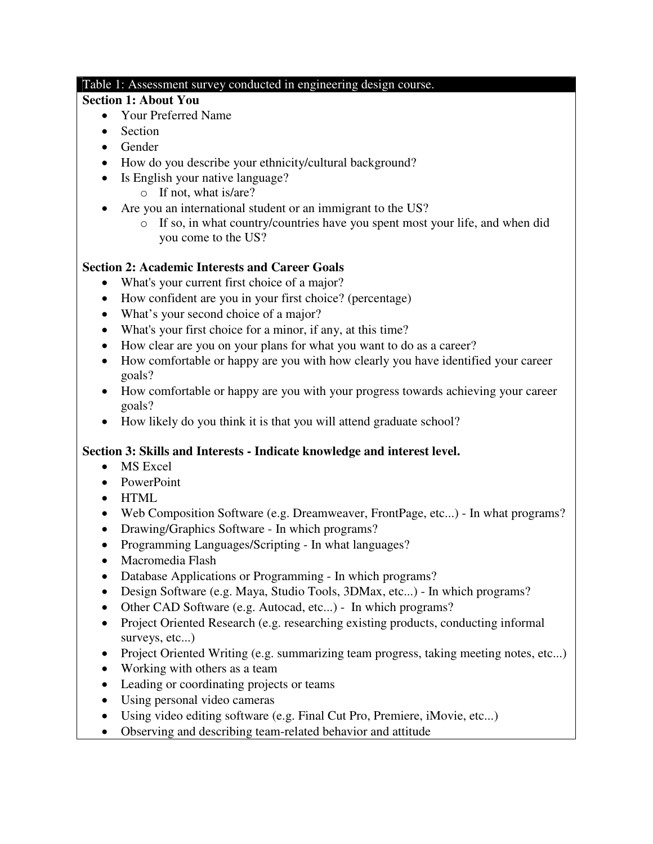#### Table 1: Assessment survey conducted in engineering design course.

### **Section 1: About You**

- Your Preferred Name
- Section
- Gender
- How do you describe your ethnicity/cultural background?
- Is English your native language?
	- o If not, what is/are?
- Are you an international student or an immigrant to the US?
	- o If so, in what country/countries have you spent most your life, and when did you come to the US?

# **Section 2: Academic Interests and Career Goals**

- What's your current first choice of a major?
- How confident are you in your first choice? (percentage)
- What's your second choice of a major?
- What's your first choice for a minor, if any, at this time?
- How clear are you on your plans for what you want to do as a career?
- How comfortable or happy are you with how clearly you have identified your career goals?
- How comfortable or happy are you with your progress towards achieving your career goals?
- How likely do you think it is that you will attend graduate school?

# **Section 3: Skills and Interests - Indicate knowledge and interest level.**

- MS Excel
- PowerPoint
- HTML
- Web Composition Software (e.g. Dreamweaver, FrontPage, etc...) In what programs?
- Drawing/Graphics Software In which programs?
- Programming Languages/Scripting In what languages?
- Macromedia Flash
- Database Applications or Programming In which programs?
- Design Software (e.g. Maya, Studio Tools, 3DMax, etc...) In which programs?
- Other CAD Software (e.g. Autocad, etc...) In which programs?
- Project Oriented Research (e.g. researching existing products, conducting informal surveys, etc...)
- Project Oriented Writing (e.g. summarizing team progress, taking meeting notes, etc...)
- Working with others as a team
- Leading or coordinating projects or teams
- Using personal video cameras
- Using video editing software (e.g. Final Cut Pro, Premiere, iMovie, etc...)
- Observing and describing team-related behavior and attitude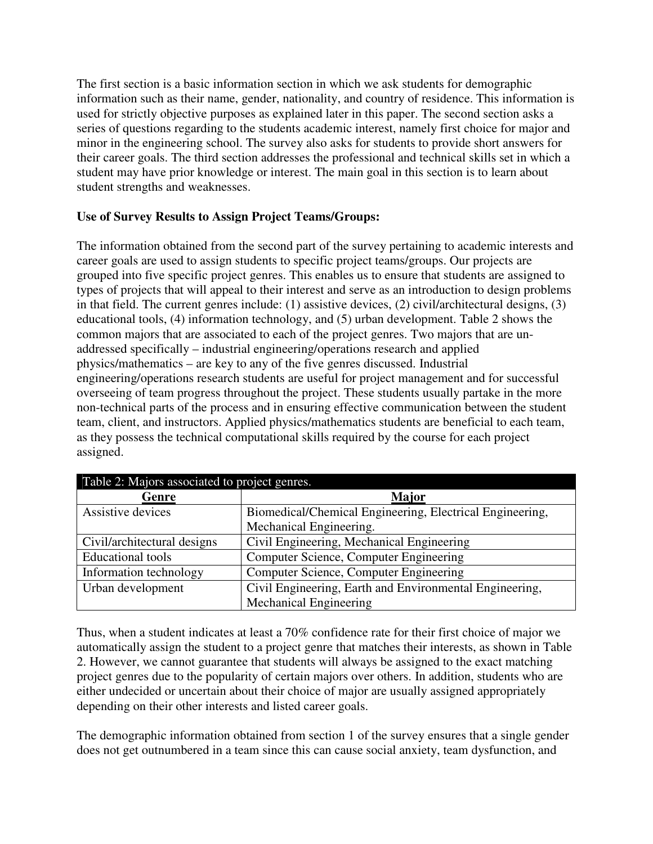The first section is a basic information section in which we ask students for demographic information such as their name, gender, nationality, and country of residence. This information is used for strictly objective purposes as explained later in this paper. The second section asks a series of questions regarding to the students academic interest, namely first choice for major and minor in the engineering school. The survey also asks for students to provide short answers for their career goals. The third section addresses the professional and technical skills set in which a student may have prior knowledge or interest. The main goal in this section is to learn about student strengths and weaknesses.

## **Use of Survey Results to Assign Project Teams/Groups:**

The information obtained from the second part of the survey pertaining to academic interests and career goals are used to assign students to specific project teams/groups. Our projects are grouped into five specific project genres. This enables us to ensure that students are assigned to types of projects that will appeal to their interest and serve as an introduction to design problems in that field. The current genres include: (1) assistive devices, (2) civil/architectural designs, (3) educational tools, (4) information technology, and (5) urban development. Table 2 shows the common majors that are associated to each of the project genres. Two majors that are unaddressed specifically – industrial engineering/operations research and applied physics/mathematics – are key to any of the five genres discussed. Industrial engineering/operations research students are useful for project management and for successful overseeing of team progress throughout the project. These students usually partake in the more non-technical parts of the process and in ensuring effective communication between the student team, client, and instructors. Applied physics/mathematics students are beneficial to each team, as they possess the technical computational skills required by the course for each project assigned.

| Table 2: Majors associated to project genres. |                                                          |  |  |  |
|-----------------------------------------------|----------------------------------------------------------|--|--|--|
| Genre                                         | <b>Major</b>                                             |  |  |  |
| Assistive devices                             | Biomedical/Chemical Engineering, Electrical Engineering, |  |  |  |
|                                               | Mechanical Engineering.                                  |  |  |  |
| Civil/architectural designs                   | Civil Engineering, Mechanical Engineering                |  |  |  |
| <b>Educational</b> tools                      | Computer Science, Computer Engineering                   |  |  |  |
| Information technology                        | Computer Science, Computer Engineering                   |  |  |  |
| Urban development                             | Civil Engineering, Earth and Environmental Engineering,  |  |  |  |
|                                               | Mechanical Engineering                                   |  |  |  |

Thus, when a student indicates at least a 70% confidence rate for their first choice of major we automatically assign the student to a project genre that matches their interests, as shown in Table 2. However, we cannot guarantee that students will always be assigned to the exact matching project genres due to the popularity of certain majors over others. In addition, students who are either undecided or uncertain about their choice of major are usually assigned appropriately depending on their other interests and listed career goals.

The demographic information obtained from section 1 of the survey ensures that a single gender does not get outnumbered in a team since this can cause social anxiety, team dysfunction, and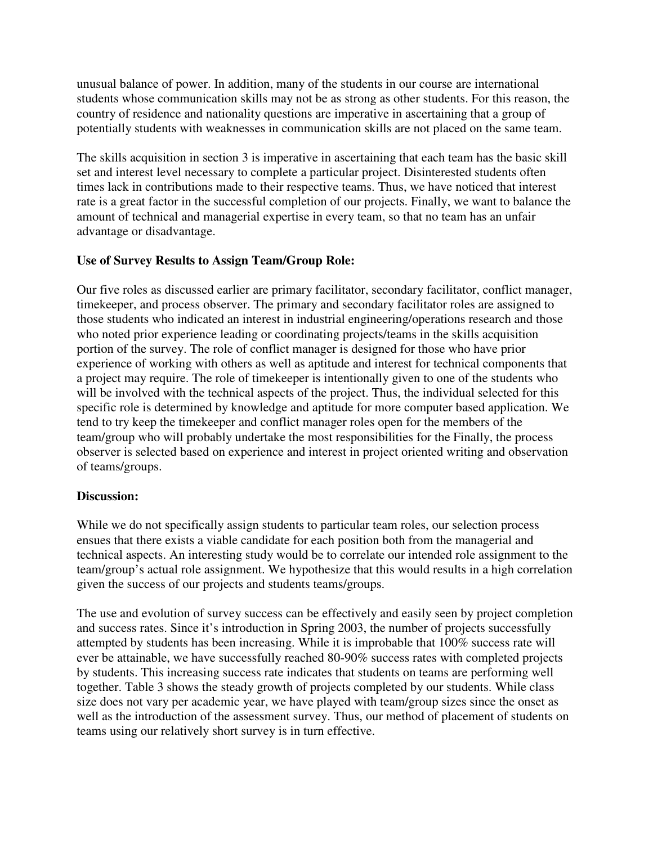unusual balance of power. In addition, many of the students in our course are international students whose communication skills may not be as strong as other students. For this reason, the country of residence and nationality questions are imperative in ascertaining that a group of potentially students with weaknesses in communication skills are not placed on the same team.

The skills acquisition in section 3 is imperative in ascertaining that each team has the basic skill set and interest level necessary to complete a particular project. Disinterested students often times lack in contributions made to their respective teams. Thus, we have noticed that interest rate is a great factor in the successful completion of our projects. Finally, we want to balance the amount of technical and managerial expertise in every team, so that no team has an unfair advantage or disadvantage.

## **Use of Survey Results to Assign Team/Group Role:**

Our five roles as discussed earlier are primary facilitator, secondary facilitator, conflict manager, timekeeper, and process observer. The primary and secondary facilitator roles are assigned to those students who indicated an interest in industrial engineering/operations research and those who noted prior experience leading or coordinating projects/teams in the skills acquisition portion of the survey. The role of conflict manager is designed for those who have prior experience of working with others as well as aptitude and interest for technical components that a project may require. The role of timekeeper is intentionally given to one of the students who will be involved with the technical aspects of the project. Thus, the individual selected for this specific role is determined by knowledge and aptitude for more computer based application. We tend to try keep the timekeeper and conflict manager roles open for the members of the team/group who will probably undertake the most responsibilities for the Finally, the process observer is selected based on experience and interest in project oriented writing and observation of teams/groups.

#### **Discussion:**

While we do not specifically assign students to particular team roles, our selection process ensues that there exists a viable candidate for each position both from the managerial and technical aspects. An interesting study would be to correlate our intended role assignment to the team/group's actual role assignment. We hypothesize that this would results in a high correlation given the success of our projects and students teams/groups.

The use and evolution of survey success can be effectively and easily seen by project completion and success rates. Since it's introduction in Spring 2003, the number of projects successfully attempted by students has been increasing. While it is improbable that 100% success rate will ever be attainable, we have successfully reached 80-90% success rates with completed projects by students. This increasing success rate indicates that students on teams are performing well together. Table 3 shows the steady growth of projects completed by our students. While class size does not vary per academic year, we have played with team/group sizes since the onset as well as the introduction of the assessment survey. Thus, our method of placement of students on teams using our relatively short survey is in turn effective.